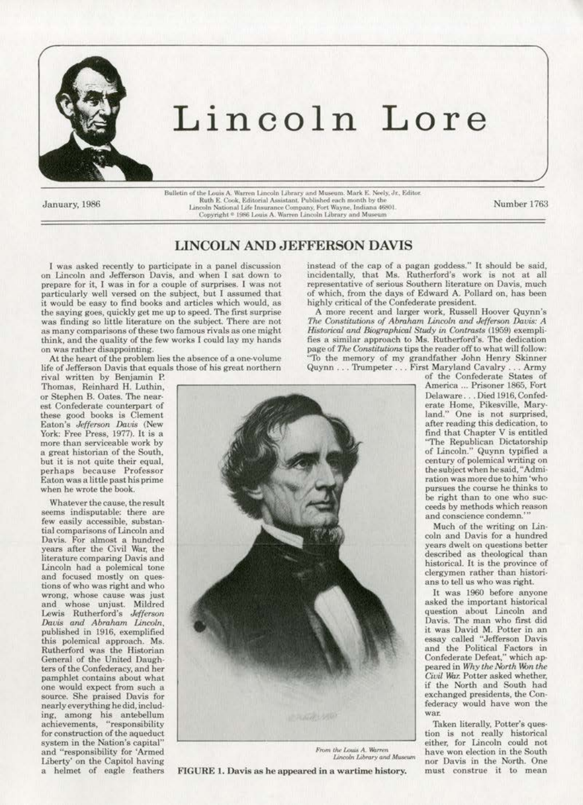

# Lincoln Lore

January, 1986

Bulletin of the Louis A. Warren Lincoln Library and Museum. Mark E. Neely, Jr., Editor.<br>Ruth E. Cook, Editorial Assistant. Published each month by the<br>Lincoln National Life Insurance Company, Fort Wayne, Indiana 46801. Copyright \* 1986 Louis A. Warren Lincoln Library and Museum

Number 1763

## **LINCOLN AND JEFFERSON DAVIS**

I was asked recently to participate in a panel discussion on Lincoln and Jefferson Davis, and when I sat down to prepare for it, I was in for a couple of surprises. I was not particularly well versed on the subject, but I assumed that it would be easy to find books and articles which would, as the saying goes, quickly get me up to speed. The first surprise was finding so little literature on the subject. There are not as many comparisons of these two famous rivals as one might think, and the quality of the few works I could lay my hands on was rather disappointing.

At the heart of the problem lies the absence of a one-volume life of Jefferson Davis that equals those of his great northern

rival written by Benjamin P. Thomas, Reinhard H. Luthin, or Stephen B. Oates. The nearest Confederate counterpart of these good books is Clement Eaton's Jefferson Davis (New York: Free Press, 1977). It is a more than serviceable work by a great historian of the South, but it is not quite their equal, perhaps because Professor Eaton was a little past his prime when he wrote the book.

Whatever the cause, the result seems indisputable: there are few easily accessible, substantial comparisons of Lincoln and Davis. For almost a hundred years after the Civil War, the literature comparing Davis and Lincoln had a polemical tone and focused mostly on questions of who was right and who wrong, whose cause was just and whose unjust. Mildred Lewis Rutherford's Jefferson<br>Davis and Abraham Lincoln, published in 1916, exemplified this polemical approach. Ms. Rutherford was the Historian<br>General of the United Daughters of the Confederacy, and her pamphlet contains about what one would expect from such a source. She praised Davis for nearly everything he did, including, among his antebellum achievements, "responsibility for construction of the aqueduct system in the Nation's capital" and "responsibility for 'Armed Liberty' on the Capitol having a helmet of eagle feathers



From the Louis A. Warren Lincoln Library and Museum

FIGURE 1. Davis as he appeared in a wartime history.

instead of the cap of a pagan goddess." It should be said, incidentally, that Ms. Rutherford's work is not at all representative of serious Southern literature on Davis, much of which, from the days of Edward A. Pollard on, has been highly critical of the Confederate president.

A more recent and larger work, Russell Hoover Quynn's The Constitutions of Abraham Lincoln and Jefferson Davis: A Historical and Biographical Study in Contrasts (1959) exemplifies a similar approach to Ms. Rutherford's. The dedication page of  $The$  Constitutions tips the reader off to what will follow: "To the memory of my grandfather John Henry Skinner  $\begin{minipage}{0.9\linewidth} \textbf{Quynn}\dots \textbf{Trumpeter}\dots \textbf{First}~\textbf{Maryland}~\textbf{Cavalty}\dots \textbf{Army}\\ \textbf{of the Confederate States of}~\textbf{Covif}~\textbf{Sates}~\textbf{Sot}~\textbf{Sot}~\textbf{Sot}~\textbf{Sot}~\textbf{Sot}~\textbf{Sot}~\textbf{Sot}~\textbf{Sot}~\textbf{Sot}~\textbf{Sot}~\textbf{Sot}~\textbf{Sot}~\textbf{Sot}~\textbf{Sot}~\textbf{Sot}~\textbf{Sot}~\textbf$ 

America ... Prisoner 1865, Fort Delaware...Died 1916, Confederate Home, Pikesville, Maryland." One is not surprised, after reading this dedication, to find that Chapter V is entitled "The Republican Dictatorship of Lincoln." Quynn typified a<br>century of polemical writing on the subject when he said, "Admiration was more due to him 'who pursues the course he thinks to be right than to one who succeeds by methods which reason and conscience condemn.'

Much of the writing on Lincoln and Davis for a hundred years dwelt on questions better described as theological than historical. It is the province of clergymen rather than historians to tell us who was right.

It was 1960 before anyone asked the important historical question about Lincoln and Davis. The man who first did it was David M. Potter in an<br>essay called "Jefferson Davis<br>and the Political Factors in Confederate Defeat," which appeared in Why the North Won the Civil War. Potter asked whether, if the North and South had exchanged presidents, the Confederacy would have won the war.

Taken literally, Potter's question is not really historical either, for Lincoln could not have won election in the South nor Davis in the North. One must construe it to mean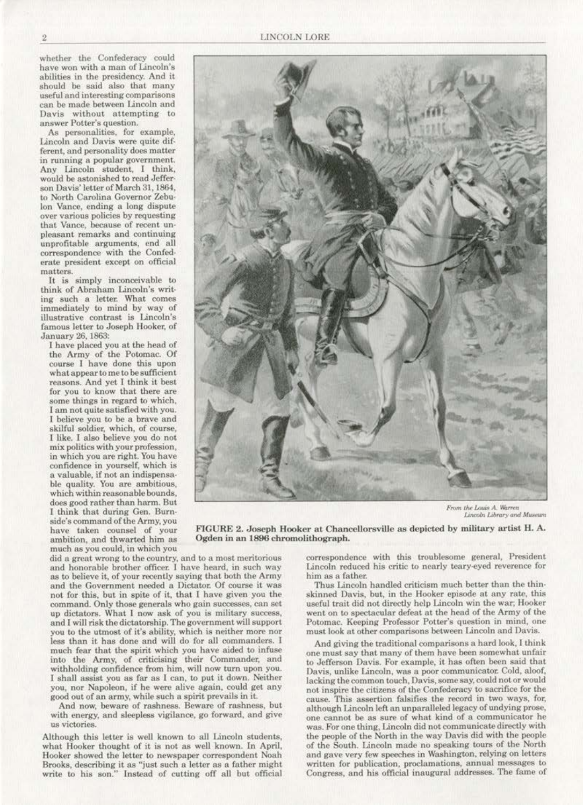whether the Confederacy could have won with a man of Lincoln's abilities in the presidency. And it should be said also that many useful and interesting comparisons can be made between Lincoln and Davis without attempting to answer Potter's question.

*As* personalities, for example, Lincoln and Davis were quite dif· ferent, and personality does matter in running a popular government. Any Lincoln student, I think, would be astonished to resd Jeffer· son Davis' letter of March 31, 1864, to North Carolina Governor Zebu-<br>lon Vance, ending a long dispute over various policies by requesting that Vance, because of recent unpleasant remarks and continuing unprofitable arguments, end all correspondence with the Confed· erate president except on official matters.

It is simply inconoeivable to think of Abraham Lincoln's writimmediately to mind by way of illustrative contrast is Lincoln's famous letter to Joseph Hooker. of January 26, 1863:

I have placed you at the head of the Army of the Potomac. Of course I have done this upon what appear to me to be sufficient reasons. And yet I think it best<br>for you to know that there are some things in regard to which. I am not quite satisfied with you. I believe you to be a brave and skilful soldier, which, of course, l like. I also believe you do not mix politics with your profession, in which you are right. You have confidence in yourself, which is a valuable, if not an indispensable quality. You are ambitious., which within reasonable bounds, does good rather than harm. But I think that during Gen. Burnside's command of the Army, you have taken counsel of your ambition, and thwarted him as much as you could, in which you

2 LINCOLN LORE



From the Louis A. Warren *Lincoln Library and Museum* 

FIGURE 2. Joseph Hooker at Chancellorsvillc as depicted by military artist El. A. Ogden in an 1896 chromolithograph.

did a great wrong to the country, and to a most meritorious and honorable brother officer. I have heard. in such way as to believe it, of your recently saying that both the Army and the Government needed a Dictator. Of course it was not for this, but in spite of it, that I have given you the command. Only those generals who gain successes, can set up dictators. What I now ask of you is military success, and I will risk the dictatorship. The government will support you to the utmost of it's ability, which is neither more nor less than it has done and will do for all commanders. I much fear that the spirit which you have aided to infuse into the Army, of criticising their Commander, and withholding confidence from him, will now turn upon you. I shall assist you as far as I can, to put it down. Neither you, nor Napoleon, if he were alive again, could get any good out of an army, while such a spirit prevails in it.

And now, beware of rashness. Beware of rashness, but with energy, and sleepless vigilance. go forward, and give us victories.

Although this letter is well known to all Lincoln students, what Hooker thought of it is not as well known. In April, Hooker showed the letter to newspaper correspondent Noah Brooks, describing it as "'just such a letter as a father might. write to his son." Instead of cutting off all but official correspondence with this troublesome general, President. Lincoln reduced his critic to nearly teary-eyed reverence for him as a father.

Thus Lincoln handled criticism much better than the thin· skinned Davis, but, in the Hooker episode at any rate, this useful trait did not directly help Lincoln win the war; Hooker went on to spectacular defeat at the head of the Army of the Potomac. Keeping Professor Potter's question in mind, one must look at other comparisons between Lincoln and Davis.

And giving the traditional comparisons a hard look, I think one must say that many of them have been somewhat unfair to Jefferson Davis. For example, it has often been said that Davis, unlike Lincoln, was a poor communicator. Cold, aloof, lacking the common touch, Davis, some say, could not or would not inspire the citizens of the Confederacy to sacrifice for the cause. This assertion faJsifies the record in two ways, for, although Lincoln left an unparalleled legacy of undying prose, one cannot be as sure of what kind of a communicator he was. For one thing, Lincoln did not communicate directly with the people of the North in the way Davis did with the people of the South. Lincoln made no speaking tours of the North and gave very few speeches in Washington, relying on letters written for publication, proclamations, annual messages to Congress, and his official inaugural addresses. The fame of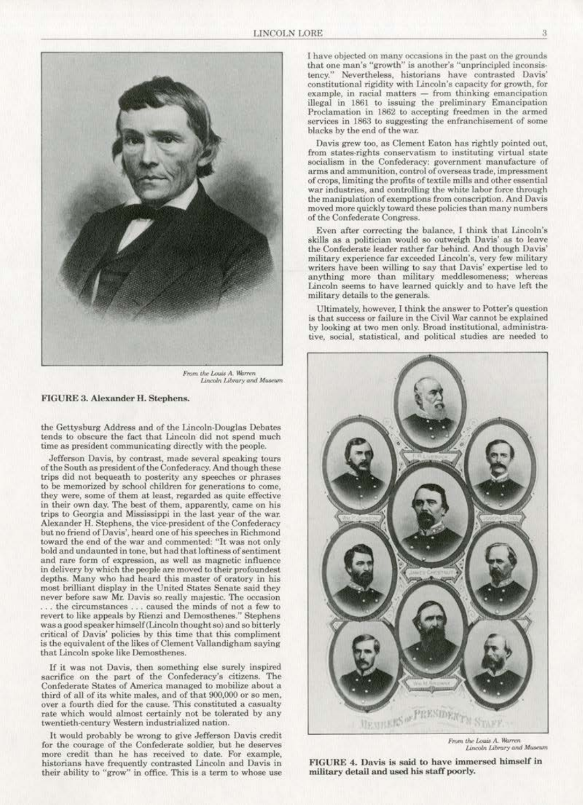

From the Louis A. Warren Lincoln Library and Museum

#### FIGURE 3. Alexander H. Stephens.

the Gettysburg Address and of the Lincoln·Douglas Debates tends to obscure the fact that Lincoln did not spend much time as president communicating directly with the people.

Jefferson Davis, by contrast, made several speaking tours of the South as president of the Confederacy. And though these trips did not bequeath to posterity any speeches or phrases to be memorized by school children for generations to come, they were, some of them at least, regarded as quite effective in their own day. The best of them, apparently, came on his trips to Georgia and Mississippi in the last year of the war. Alexander H. Stephens, the vice-president of the Confederacy but no friend of Davis', heard one of his speeches in Richmond toward the end of the war and commented: "It was not only boJd and undaunted in tone, but had that loftiness of sentiment and rare form of expression, as well as magnetic influence<br>in delivery by which the people are moved to their profoundest depths. Many who had heard this master of oratory in his most brilliant display in the United States Senate said they never before saw Mr. Davis so really majestic. The occasion .. , the circumstances , .. caused the minds of not a few to was a good speaker himself (Lincoln thought so) and so bitterly critical of Davis' policies by this time that this compliment is the equivalent of the likes of Clement Vallandigham saying that Lincoln spoke like Demosthenes.

If it was not Davis, then something else surely inspired sacrifice on the part of the Confederacy's citizens. The Confederate States of America managed to mobilize about a third of all of its white males, and of that 900,000 or so men, over a fourth died for the cause. This constituted a casualty rate which would almost certainly not be tolerated by any twentieth-century Western industrialized nation.

It would probably be wrong to give Jefferson Davis credit for the courage of the Confederate soldier. but he deserves more credit than he has received to date. For example, historians have frequently contrasted Lincoln and Davis in their ability to "grow" in office. This is a term to whose use I have objected on many occasions in the past on the grounds that one man's "growth'' is another's " unprincipled inconsis· tency." Nevertheless, historians have contrasted Davis' constitutional rigidity with Lincoln's capacity for growth, for  $example, in racial matters - from thinking emancipation$ illegal in 1861 to issuing the preliminary Emancipation Proclamation in 1862 to accepting freedmen in the armed services in 1863 to suggesting the enfranchisement of some blacks by the end of the war.

Davis grew too, as Clement Eaton has rightly pointed out. from states-rights conservatism to instituting virtual state socialism in the Confederacy: government manufacture of arms and ammunition, control of overseas trade, impressment war industries, and controlling the white labor force through the marlipulation of exemptions from conscription. And Davis moved more quickly toward these policies than many numbers of the Confederate Congress.

Even after correcting the balance, I think that Lincoln's skills as a politician would so outweigh Davis' as to leave the Confederate leader rather far behind. And though Davis' military experience far exceeded Lincoln's, very few military writers have been willing to say that Davis' expertise led to anything more than military meddlesomeness; whereas Lincoln seems to have learned quickly and to have left the military details to the generals.

Ultimately, however, [ think the answer to Potter's question is that success or failure in the Civil War cannot be explained by looking at two men only. Broad institutional, administrative, social, statistical, and political studies are needed to



From the Louis A. Warren Lincoln Library and Museum

FIGURE 4. Davis is said to have immersed himself in military detail and used his staff poorly.